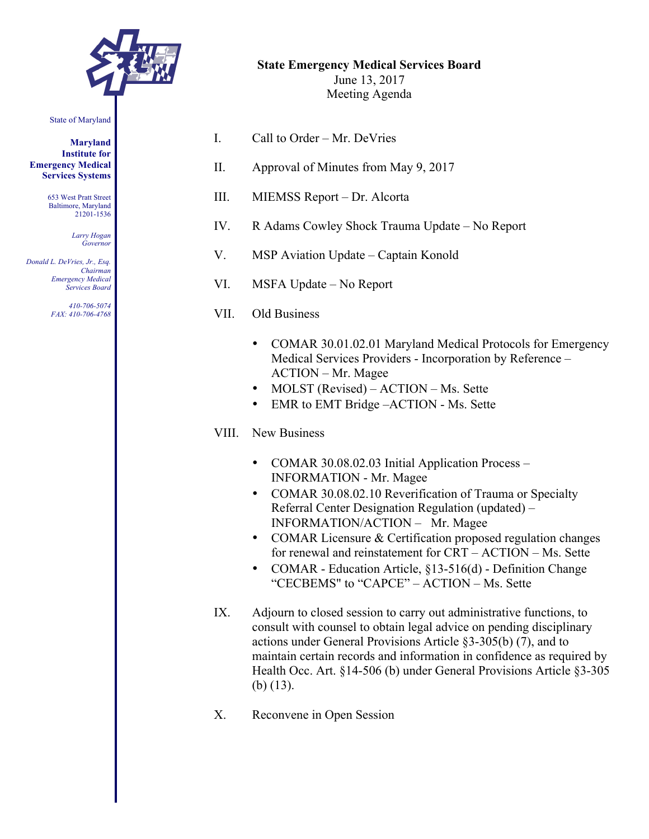

State of Maryland

**Maryland Institute for Emergency Medical Services Systems**

> 653 West Pratt Street Baltimore, Maryland 21201-1536

> > *Larry Hogan Governor*

*Donald L. DeVries, Jr., Esq. Chairman Emergency Medical Services Board*

> *410-706-5074 FAX: 410-706-4768*

|    | <b>State Emergency Medical Services Board</b><br>June 13, 2017<br>Meeting Agenda |
|----|----------------------------------------------------------------------------------|
| L  | Call to Order – Mr. DeVries                                                      |
| П. | Approval of Minutes from May 9, 2017                                             |
| Ш. | MIEMSS Report – Dr. Alcorta                                                      |
|    |                                                                                  |

- IV. R Adams Cowley Shock Trauma Update No Report
- V. MSP Aviation Update Captain Konold
- VI. MSFA Update No Report
- VII. Old Business
	- COMAR 30.01.02.01 Maryland Medical Protocols for Emergency Medical Services Providers - Incorporation by Reference – ACTION – Mr. Magee
	- MOLST (Revised) ACTION Ms. Sette
	- EMR to EMT Bridge ACTION Ms. Sette
- VIII. New Business
	- COMAR 30.08.02.03 Initial Application Process INFORMATION - Mr. Magee
	- COMAR 30.08.02.10 Reverification of Trauma or Specialty Referral Center Designation Regulation (updated) – INFORMATION/ACTION – Mr. Magee
	- COMAR Licensure & Certification proposed regulation changes for renewal and reinstatement for CRT – ACTION – Ms. Sette
	- COMAR Education Article, §13-516(d) Definition Change "CECBEMS" to "CAPCE" – ACTION – Ms. Sette
- IX. Adjourn to closed session to carry out administrative functions, to consult with counsel to obtain legal advice on pending disciplinary actions under General Provisions Article §3-305(b) (7), and to maintain certain records and information in confidence as required by Health Occ. Art. §14-506 (b) under General Provisions Article §3-305 (b) (13).
- X. Reconvene in Open Session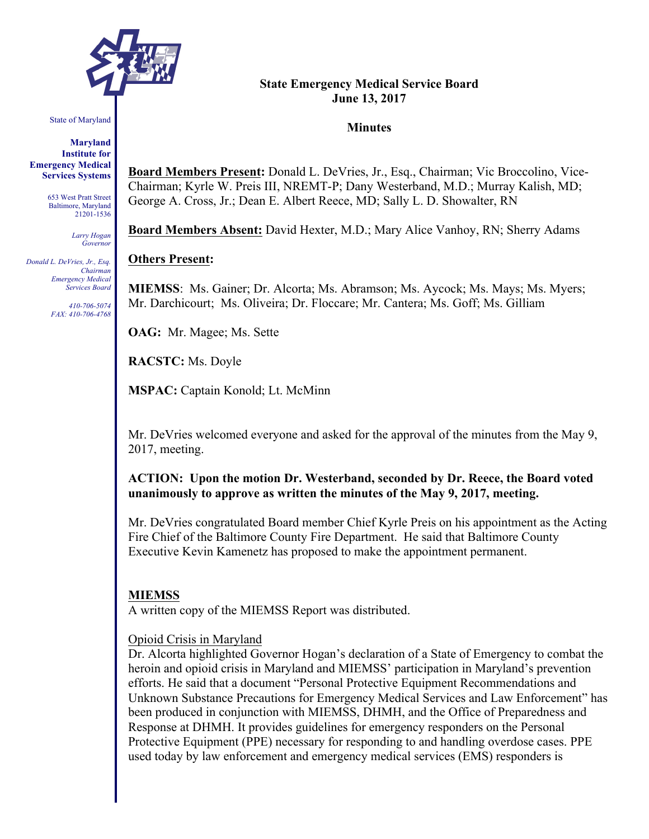

State of Maryland

**Maryland Institute for Emergency Medical Services Systems**

> 653 West Pratt Street Baltimore, Maryland 21201-1536

> > *Larry Hogan Governor*

*Donald L. DeVries, Jr., Esq. Chairman Emergency Medical Services Board*

> *410-706-5074 FAX: 410-706-4768*

#### **State Emergency Medical Service Board June 13, 2017**

#### **Minutes**

**Board Members Present:** Donald L. DeVries, Jr., Esq., Chairman; Vic Broccolino, Vice-Chairman; Kyrle W. Preis III, NREMT-P; Dany Westerband, M.D.; Murray Kalish, MD; George A. Cross, Jr.; Dean E. Albert Reece, MD; Sally L. D. Showalter, RN

**Board Members Absent:** David Hexter, M.D.; Mary Alice Vanhoy, RN; Sherry Adams

#### **Others Present:**

**MIEMSS**: Ms. Gainer; Dr. Alcorta; Ms. Abramson; Ms. Aycock; Ms. Mays; Ms. Myers; Mr. Darchicourt; Ms. Oliveira; Dr. Floccare; Mr. Cantera; Ms. Goff; Ms. Gilliam

**OAG:** Mr. Magee; Ms. Sette

**RACSTC:** Ms. Doyle

**MSPAC:** Captain Konold; Lt. McMinn

Mr. DeVries welcomed everyone and asked for the approval of the minutes from the May 9, 2017, meeting.

**ACTION: Upon the motion Dr. Westerband, seconded by Dr. Reece, the Board voted unanimously to approve as written the minutes of the May 9, 2017, meeting.**

Mr. DeVries congratulated Board member Chief Kyrle Preis on his appointment as the Acting Fire Chief of the Baltimore County Fire Department. He said that Baltimore County Executive Kevin Kamenetz has proposed to make the appointment permanent.

#### **MIEMSS**

A written copy of the MIEMSS Report was distributed.

#### Opioid Crisis in Maryland

Dr. Alcorta highlighted Governor Hogan's declaration of a State of Emergency to combat the heroin and opioid crisis in Maryland and MIEMSS' participation in Maryland's prevention efforts. He said that a document "Personal Protective Equipment Recommendations and Unknown Substance Precautions for Emergency Medical Services and Law Enforcement" has been produced in conjunction with MIEMSS, DHMH, and the Office of Preparedness and Response at DHMH. It provides guidelines for emergency responders on the Personal Protective Equipment (PPE) necessary for responding to and handling overdose cases. PPE used today by law enforcement and emergency medical services (EMS) responders is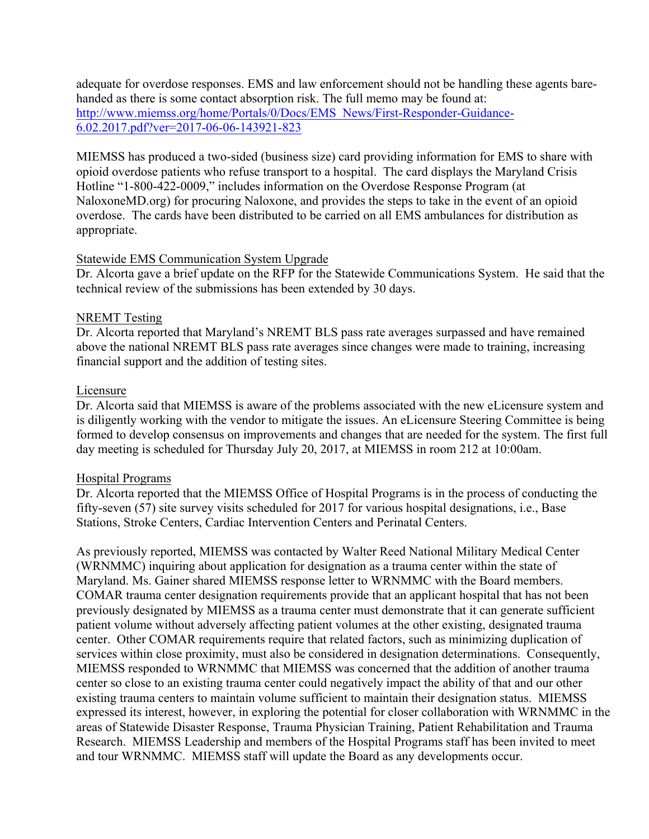adequate for overdose responses. EMS and law enforcement should not be handling these agents barehanded as there is some contact absorption risk. The full memo may be found at: http://www.miemss.org/home/Portals/0/Docs/EMS\_News/First-Responder-Guidance-6.02.2017.pdf?ver=2017-06-06-143921-823

MIEMSS has produced a two-sided (business size) card providing information for EMS to share with opioid overdose patients who refuse transport to a hospital. The card displays the Maryland Crisis Hotline "1-800-422-0009," includes information on the Overdose Response Program (at NaloxoneMD.org) for procuring Naloxone, and provides the steps to take in the event of an opioid overdose. The cards have been distributed to be carried on all EMS ambulances for distribution as appropriate.

## Statewide EMS Communication System Upgrade

Dr. Alcorta gave a brief update on the RFP for the Statewide Communications System. He said that the technical review of the submissions has been extended by 30 days.

## NREMT Testing

Dr. Alcorta reported that Maryland's NREMT BLS pass rate averages surpassed and have remained above the national NREMT BLS pass rate averages since changes were made to training, increasing financial support and the addition of testing sites.

### Licensure

Dr. Alcorta said that MIEMSS is aware of the problems associated with the new eLicensure system and is diligently working with the vendor to mitigate the issues. An eLicensure Steering Committee is being formed to develop consensus on improvements and changes that are needed for the system. The first full day meeting is scheduled for Thursday July 20, 2017, at MIEMSS in room 212 at 10:00am.

### Hospital Programs

Dr. Alcorta reported that the MIEMSS Office of Hospital Programs is in the process of conducting the fifty-seven (57) site survey visits scheduled for 2017 for various hospital designations, i.e., Base Stations, Stroke Centers, Cardiac Intervention Centers and Perinatal Centers.

As previously reported, MIEMSS was contacted by Walter Reed National Military Medical Center (WRNMMC) inquiring about application for designation as a trauma center within the state of Maryland. Ms. Gainer shared MIEMSS response letter to WRNMMC with the Board members. COMAR trauma center designation requirements provide that an applicant hospital that has not been previously designated by MIEMSS as a trauma center must demonstrate that it can generate sufficient patient volume without adversely affecting patient volumes at the other existing, designated trauma center. Other COMAR requirements require that related factors, such as minimizing duplication of services within close proximity, must also be considered in designation determinations. Consequently, MIEMSS responded to WRNMMC that MIEMSS was concerned that the addition of another trauma center so close to an existing trauma center could negatively impact the ability of that and our other existing trauma centers to maintain volume sufficient to maintain their designation status. MIEMSS expressed its interest, however, in exploring the potential for closer collaboration with WRNMMC in the areas of Statewide Disaster Response, Trauma Physician Training, Patient Rehabilitation and Trauma Research. MIEMSS Leadership and members of the Hospital Programs staff has been invited to meet and tour WRNMMC. MIEMSS staff will update the Board as any developments occur.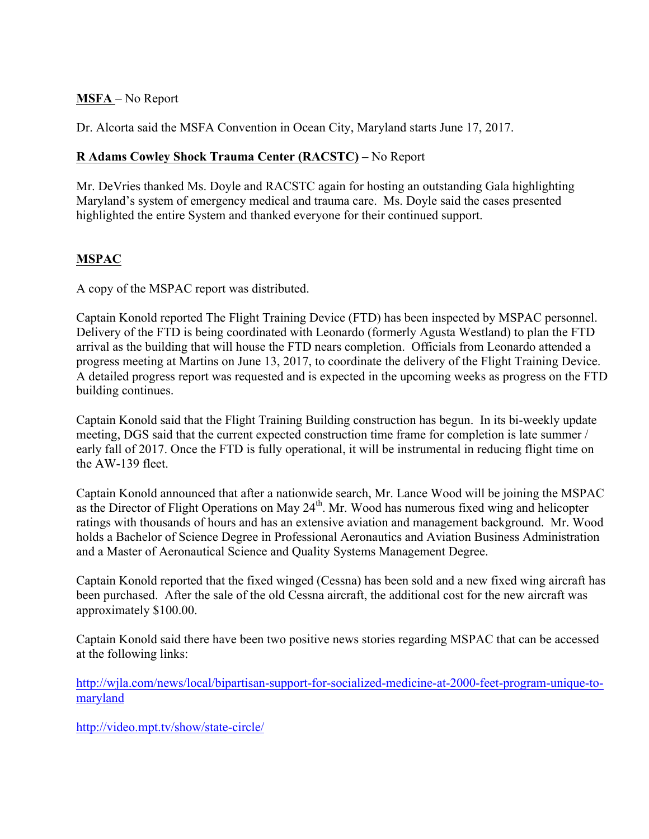## **MSFA** – No Report

Dr. Alcorta said the MSFA Convention in Ocean City, Maryland starts June 17, 2017.

# **R Adams Cowley Shock Trauma Center (RACSTC) –** No Report

Mr. DeVries thanked Ms. Doyle and RACSTC again for hosting an outstanding Gala highlighting Maryland's system of emergency medical and trauma care. Ms. Doyle said the cases presented highlighted the entire System and thanked everyone for their continued support.

# **MSPAC**

A copy of the MSPAC report was distributed.

Captain Konold reported The Flight Training Device (FTD) has been inspected by MSPAC personnel. Delivery of the FTD is being coordinated with Leonardo (formerly Agusta Westland) to plan the FTD arrival as the building that will house the FTD nears completion. Officials from Leonardo attended a progress meeting at Martins on June 13, 2017, to coordinate the delivery of the Flight Training Device. A detailed progress report was requested and is expected in the upcoming weeks as progress on the FTD building continues.

Captain Konold said that the Flight Training Building construction has begun. In its bi-weekly update meeting, DGS said that the current expected construction time frame for completion is late summer / early fall of 2017. Once the FTD is fully operational, it will be instrumental in reducing flight time on the AW-139 fleet.

Captain Konold announced that after a nationwide search, Mr. Lance Wood will be joining the MSPAC as the Director of Flight Operations on May 24<sup>th</sup>. Mr. Wood has numerous fixed wing and helicopter ratings with thousands of hours and has an extensive aviation and management background. Mr. Wood holds a Bachelor of Science Degree in Professional Aeronautics and Aviation Business Administration and a Master of Aeronautical Science and Quality Systems Management Degree.

Captain Konold reported that the fixed winged (Cessna) has been sold and a new fixed wing aircraft has been purchased. After the sale of the old Cessna aircraft, the additional cost for the new aircraft was approximately \$100.00.

Captain Konold said there have been two positive news stories regarding MSPAC that can be accessed at the following links:

http://wjla.com/news/local/bipartisan-support-for-socialized-medicine-at-2000-feet-program-unique-tomaryland

http://video.mpt.tv/show/state-circle/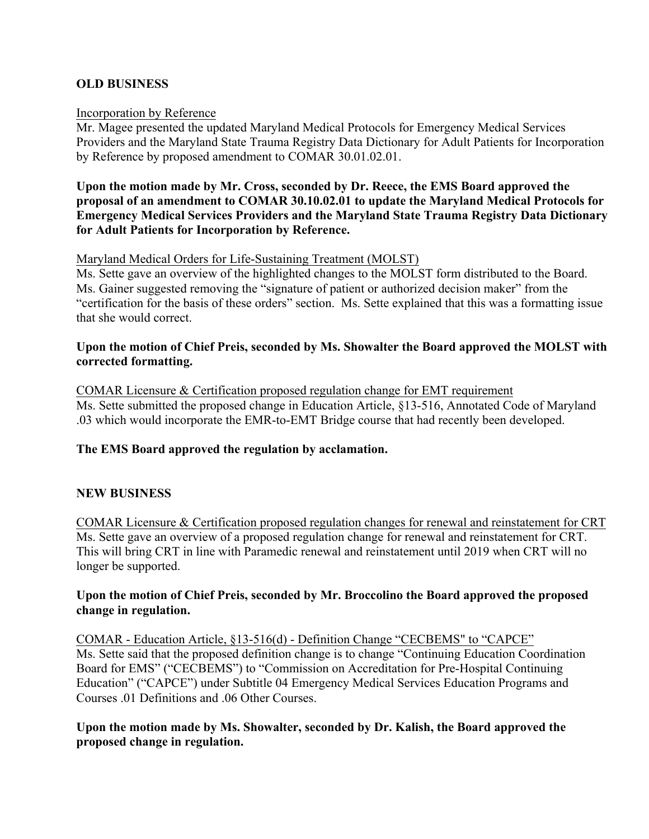## **OLD BUSINESS**

#### Incorporation by Reference

Mr. Magee presented the updated Maryland Medical Protocols for Emergency Medical Services Providers and the Maryland State Trauma Registry Data Dictionary for Adult Patients for Incorporation by Reference by proposed amendment to COMAR 30.01.02.01.

## **Upon the motion made by Mr. Cross, seconded by Dr. Reece, the EMS Board approved the proposal of an amendment to COMAR 30.10.02.01 to update the Maryland Medical Protocols for Emergency Medical Services Providers and the Maryland State Trauma Registry Data Dictionary for Adult Patients for Incorporation by Reference.**

### Maryland Medical Orders for Life-Sustaining Treatment (MOLST)

Ms. Sette gave an overview of the highlighted changes to the MOLST form distributed to the Board. Ms. Gainer suggested removing the "signature of patient or authorized decision maker" from the "certification for the basis of these orders" section. Ms. Sette explained that this was a formatting issue that she would correct.

### **Upon the motion of Chief Preis, seconded by Ms. Showalter the Board approved the MOLST with corrected formatting.**

COMAR Licensure & Certification proposed regulation change for EMT requirement Ms. Sette submitted the proposed change in Education Article, §13-516, Annotated Code of Maryland .03 which would incorporate the EMR-to-EMT Bridge course that had recently been developed.

### **The EMS Board approved the regulation by acclamation.**

### **NEW BUSINESS**

COMAR Licensure & Certification proposed regulation changes for renewal and reinstatement for CRT Ms. Sette gave an overview of a proposed regulation change for renewal and reinstatement for CRT. This will bring CRT in line with Paramedic renewal and reinstatement until 2019 when CRT will no longer be supported.

### **Upon the motion of Chief Preis, seconded by Mr. Broccolino the Board approved the proposed change in regulation.**

COMAR - Education Article, §13-516(d) - Definition Change "CECBEMS" to "CAPCE" Ms. Sette said that the proposed definition change is to change "Continuing Education Coordination Board for EMS" ("CECBEMS") to "Commission on Accreditation for Pre-Hospital Continuing Education" ("CAPCE") under Subtitle 04 Emergency Medical Services Education Programs and Courses .01 Definitions and .06 Other Courses.

## **Upon the motion made by Ms. Showalter, seconded by Dr. Kalish, the Board approved the proposed change in regulation.**